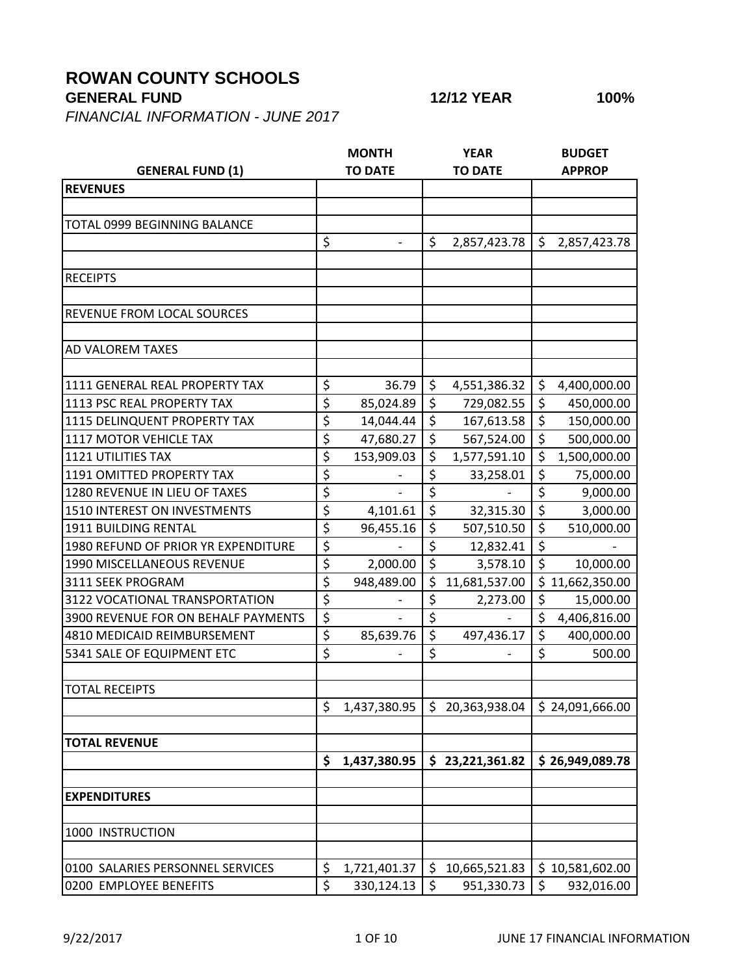## **ROWAN COUNTY SCHOOLS**

*FINANCIAL INFORMATION - JUNE 2017*

|                                     |                        | <b>MONTH</b>   |                  | <b>YEAR</b>     |                          | <b>BUDGET</b>                |  |  |
|-------------------------------------|------------------------|----------------|------------------|-----------------|--------------------------|------------------------------|--|--|
| <b>GENERAL FUND (1)</b>             |                        | <b>TO DATE</b> | <b>TO DATE</b>   |                 |                          | <b>APPROP</b>                |  |  |
| <b>REVENUES</b>                     |                        |                |                  |                 |                          |                              |  |  |
|                                     |                        |                |                  |                 |                          |                              |  |  |
| TOTAL 0999 BEGINNING BALANCE        |                        |                |                  |                 |                          |                              |  |  |
|                                     | \$                     |                | \$               | 2,857,423.78    | \$                       | 2,857,423.78                 |  |  |
|                                     |                        |                |                  |                 |                          |                              |  |  |
| <b>RECEIPTS</b>                     |                        |                |                  |                 |                          |                              |  |  |
| REVENUE FROM LOCAL SOURCES          |                        |                |                  |                 |                          |                              |  |  |
|                                     |                        |                |                  |                 |                          |                              |  |  |
| AD VALOREM TAXES                    |                        |                |                  |                 |                          |                              |  |  |
| 1111 GENERAL REAL PROPERTY TAX      | \$                     | 36.79          | \$               | 4,551,386.32    | \$                       | 4,400,000.00                 |  |  |
| 1113 PSC REAL PROPERTY TAX          | \$                     | 85,024.89      | \$               | 729,082.55      | \$                       | 450,000.00                   |  |  |
| 1115 DELINQUENT PROPERTY TAX        | \$                     | 14,044.44      | $\overline{\xi}$ | 167,613.58      | $\overline{\xi}$         | 150,000.00                   |  |  |
| 1117 MOTOR VEHICLE TAX              | \$                     | 47,680.27      | $\overline{\xi}$ | 567,524.00      | $\overline{\xi}$         | 500,000.00                   |  |  |
| <b>1121 UTILITIES TAX</b>           | \$                     | 153,909.03     | \$               | 1,577,591.10    | $\overline{\xi}$         | 1,500,000.00                 |  |  |
| 1191 OMITTED PROPERTY TAX           | \$                     |                | $\overline{\xi}$ | 33,258.01       | \$                       | 75,000.00                    |  |  |
| 1280 REVENUE IN LIEU OF TAXES       | \$                     |                | \$               |                 | \$                       | 9,000.00                     |  |  |
| 1510 INTEREST ON INVESTMENTS        | $\overline{\xi}$       | 4,101.61       | \$               | 32,315.30       | $\overline{\xi}$         | 3,000.00                     |  |  |
| 1911 BUILDING RENTAL                | \$                     | 96,455.16      | \$               | 507,510.50      | $\overline{\xi}$         | 510,000.00                   |  |  |
| 1980 REFUND OF PRIOR YR EXPENDITURE | \$                     |                | $\overline{\xi}$ | 12,832.41       | $\overline{\xi}$         |                              |  |  |
| 1990 MISCELLANEOUS REVENUE          | \$                     | 2,000.00       | $\overline{\xi}$ | 3,578.10        | $\zeta$                  | 10,000.00                    |  |  |
| 3111 SEEK PROGRAM                   | \$                     | 948,489.00     | $\overline{\xi}$ | 11,681,537.00   |                          | $\overline{5}$ 11,662,350.00 |  |  |
| 3122 VOCATIONAL TRANSPORTATION      | \$                     |                | \$               | 2,273.00        | \$                       | 15,000.00                    |  |  |
| 3900 REVENUE FOR ON BEHALF PAYMENTS | \$                     |                | $\overline{\xi}$ |                 | \$                       | 4,406,816.00                 |  |  |
| 4810 MEDICAID REIMBURSEMENT         | $\overline{\varsigma}$ | 85,639.76      | \$               | 497,436.17      | $\overline{\mathcal{S}}$ | 400,000.00                   |  |  |
| 5341 SALE OF EQUIPMENT ETC          | \$                     |                | $\overline{\xi}$ |                 | \$                       | 500.00                       |  |  |
| <b>TOTAL RECEIPTS</b>               |                        |                |                  |                 |                          |                              |  |  |
|                                     | \$                     | 1,437,380.95   | \$.              | 20,363,938.04   |                          | \$24,091,666.00              |  |  |
|                                     |                        |                |                  |                 |                          |                              |  |  |
| <b>TOTAL REVENUE</b>                |                        |                |                  |                 |                          |                              |  |  |
|                                     | \$                     | 1,437,380.95   |                  | \$23,221,361.82 |                          | \$26,949,089.78              |  |  |
| <b>EXPENDITURES</b>                 |                        |                |                  |                 |                          |                              |  |  |
| 1000 INSTRUCTION                    |                        |                |                  |                 |                          |                              |  |  |
| 0100 SALARIES PERSONNEL SERVICES    | \$                     | 1,721,401.37   | \$               | 10,665,521.83   |                          | \$10,581,602.00              |  |  |
| 0200 EMPLOYEE BENEFITS              | \$                     | 330,124.13     | \$               | 951,330.73      | \$                       | 932,016.00                   |  |  |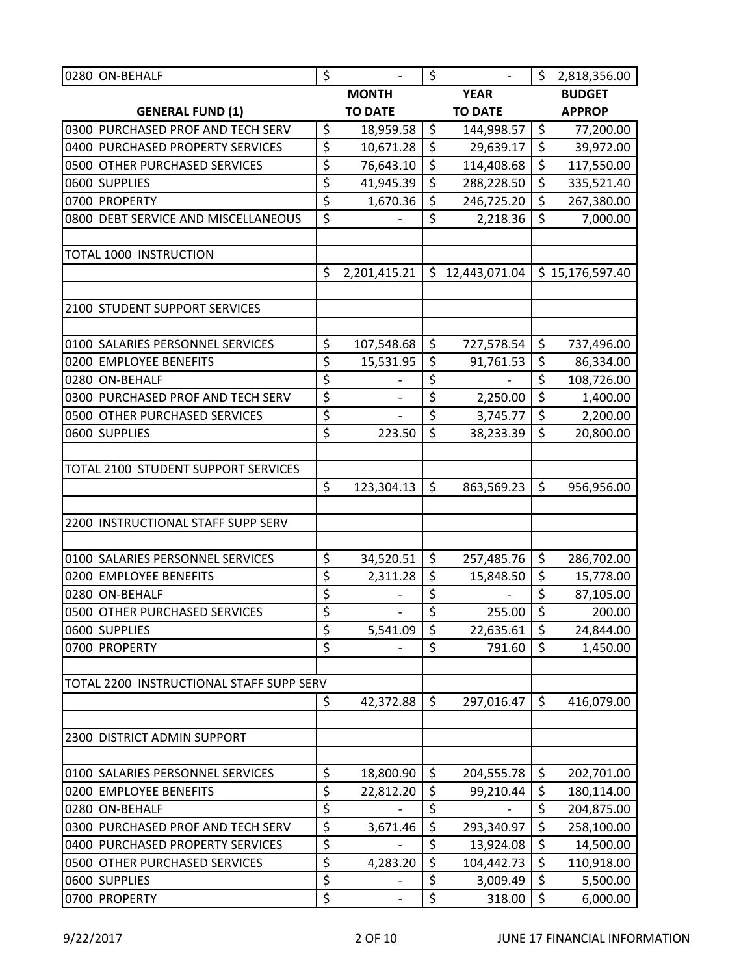| 0280 ON-BEHALF                           | \$                              | $\overline{a}$           | $\zeta$                  | $\overline{\phantom{a}}$ | $\zeta$                  | 2,818,356.00    |  |
|------------------------------------------|---------------------------------|--------------------------|--------------------------|--------------------------|--------------------------|-----------------|--|
|                                          |                                 | <b>MONTH</b>             |                          | <b>YEAR</b>              |                          | <b>BUDGET</b>   |  |
| <b>GENERAL FUND (1)</b>                  |                                 | <b>TO DATE</b>           |                          | <b>TO DATE</b>           |                          | <b>APPROP</b>   |  |
| 0300 PURCHASED PROF AND TECH SERV        | \$                              | 18,959.58                | $\zeta$                  | 144,998.57               | $\zeta$                  | 77,200.00       |  |
| 0400 PURCHASED PROPERTY SERVICES         | \$                              | 10,671.28                | $\overline{\mathcal{S}}$ | 29,639.17                | $\overline{\xi}$         | 39,972.00       |  |
| 0500 OTHER PURCHASED SERVICES            | \$                              | 76,643.10                | \$                       | 114,408.68               | \$                       | 117,550.00      |  |
| 0600 SUPPLIES                            | \$                              | 41,945.39                | \$                       | 288,228.50               | $\overline{\xi}$         | 335,521.40      |  |
| 0700 PROPERTY                            | $\overline{\xi}$                | 1,670.36                 | \$                       | 246,725.20               | \$                       | 267,380.00      |  |
| 0800 DEBT SERVICE AND MISCELLANEOUS      | \$                              |                          | $\overline{\xi}$         | 2,218.36                 | \$                       | 7,000.00        |  |
| <b>TOTAL 1000 INSTRUCTION</b>            |                                 |                          |                          |                          |                          |                 |  |
|                                          | \$                              | 2,201,415.21             | \$.                      | 12,443,071.04            |                          | \$15,176,597.40 |  |
| 2100 STUDENT SUPPORT SERVICES            |                                 |                          |                          |                          |                          |                 |  |
| 0100 SALARIES PERSONNEL SERVICES         | \$                              | 107,548.68               | \$                       | 727,578.54               | $\zeta$                  | 737,496.00      |  |
| 0200 EMPLOYEE BENEFITS                   | \$                              | 15,531.95                | \$                       | 91,761.53                | \$                       | 86,334.00       |  |
| 0280 ON-BEHALF                           | \$                              |                          | \$                       |                          | \$                       | 108,726.00      |  |
| 0300 PURCHASED PROF AND TECH SERV        | \$                              |                          | $\overline{\xi}$         | 2,250.00                 | $\overline{\xi}$         | 1,400.00        |  |
| 0500 OTHER PURCHASED SERVICES            | \$                              | $\overline{a}$           | \$                       | 3,745.77                 | \$                       | 2,200.00        |  |
| 0600 SUPPLIES                            | \$                              | 223.50                   | $\zeta$                  | 38,233.39                | \$                       | 20,800.00       |  |
| TOTAL 2100 STUDENT SUPPORT SERVICES      |                                 |                          |                          |                          |                          |                 |  |
|                                          | \$                              | 123,304.13               | \$                       | 863,569.23               | \$                       | 956,956.00      |  |
| 2200 INSTRUCTIONAL STAFF SUPP SERV       |                                 |                          |                          |                          |                          |                 |  |
|                                          |                                 |                          |                          |                          |                          |                 |  |
| 0100 SALARIES PERSONNEL SERVICES         | \$                              | 34,520.51                | $\zeta$                  | 257,485.76               | $\zeta$                  | 286,702.00      |  |
| 0200 EMPLOYEE BENEFITS                   | \$                              | 2,311.28                 | \$                       | 15,848.50                | \$                       | 15,778.00       |  |
| 0280 ON-BEHALF                           | \$                              |                          | \$                       |                          | \$                       | 87,105.00       |  |
| 0500 OTHER PURCHASED SERVICES            | $\overline{\varsigma}$          | $\overline{\phantom{m}}$ | $\overline{\mathsf{S}}$  | 255.00                   | $\overline{\mathcal{S}}$ | 200.00          |  |
| 0600 SUPPLIES                            | \$                              | 5,541.09                 | \$                       | 22,635.61                | \$                       | 24,844.00       |  |
| 0700 PROPERTY                            | $\overline{\varsigma}$          |                          | \$                       | 791.60                   | $\zeta$                  | 1,450.00        |  |
| TOTAL 2200 INSTRUCTIONAL STAFF SUPP SERV |                                 |                          |                          |                          |                          |                 |  |
|                                          | \$                              | 42,372.88                | $\zeta$                  | 297,016.47               | $\zeta$                  | 416,079.00      |  |
| 2300 DISTRICT ADMIN SUPPORT              |                                 |                          |                          |                          |                          |                 |  |
| 0100 SALARIES PERSONNEL SERVICES         | \$                              | 18,800.90                | \$                       | 204,555.78               | $\zeta$                  | 202,701.00      |  |
| 0200 EMPLOYEE BENEFITS                   | $\overline{\xi}$                | 22,812.20                | \$                       | 99,210.44                | \$                       | 180,114.00      |  |
| 0280 ON-BEHALF                           | \$                              |                          | \$                       |                          | \$                       | 204,875.00      |  |
| 0300 PURCHASED PROF AND TECH SERV        | \$                              | 3,671.46                 | \$                       | 293,340.97               | \$                       | 258,100.00      |  |
| 0400 PURCHASED PROPERTY SERVICES         | $\overline{\boldsymbol{\zeta}}$ |                          | \$                       | 13,924.08                | \$                       | 14,500.00       |  |
| 0500 OTHER PURCHASED SERVICES            | $\overline{\xi}$                | 4,283.20                 | \$                       | 104,442.73               | $\overline{\xi}$         | 110,918.00      |  |
| 0600 SUPPLIES                            | $\overline{\xi}$                |                          | \$                       | 3,009.49                 | \$                       | 5,500.00        |  |
| 0700 PROPERTY                            | \$                              |                          | \$                       | 318.00                   | $\zeta$                  | 6,000.00        |  |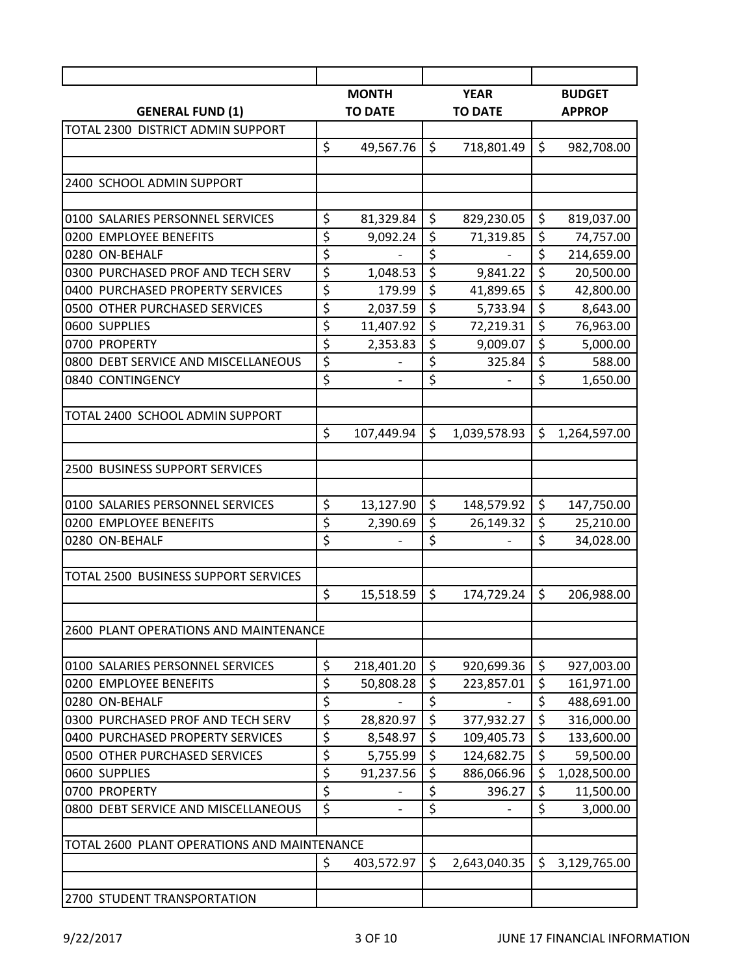| <b>MONTH</b><br><b>YEAR</b><br><b>BUDGET</b><br><b>TO DATE</b><br><b>TO DATE</b><br><b>GENERAL FUND (1)</b><br><b>APPROP</b><br>TOTAL 2300 DISTRICT ADMIN SUPPORT<br>\$<br>$\zeta$<br>$\zeta$<br>49,567.76<br>718,801.49<br>982,708.00<br>\$<br>\$<br>\$<br>81,329.84<br>829,230.05<br>819,037.00<br>\$<br>\$<br>$\zeta$<br>9,092.24<br>71,319.85<br>74,757.00<br>$\overline{\xi}$<br>\$<br>\$<br>214,659.00<br>\$<br>\$<br>\$<br>1,048.53<br>9,841.22<br>20,500.00<br>$\overline{\xi}$<br>\$<br>\$<br>179.99<br>41,899.65<br>42,800.00<br>\$<br>\$<br>\$<br>2,037.59<br>5,733.94<br>8,643.00<br>\$<br>\$<br>\$<br>11,407.92<br>72,219.31<br>76,963.00<br>$\overline{\varsigma}$<br>$\overline{\xi}$<br>\$<br>2,353.83<br>9,009.07<br>5,000.00<br>$\overline{\xi}$<br>\$<br>\$<br>325.84<br>588.00<br>$\overline{\xi}$<br>\$<br>\$<br>1,650.00<br>$\overline{a}$<br>TOTAL 2400 SCHOOL ADMIN SUPPORT<br>\$<br>\$<br>\$<br>107,449.94<br>1,039,578.93<br>1,264,597.00<br><b>2500 BUSINESS SUPPORT SERVICES</b><br>\$<br>\$<br>\$<br>13,127.90<br>148,579.92<br>147,750.00<br>\$<br>\$<br>\$<br>2,390.69<br>26,149.32<br>25,210.00<br>$\overline{\xi}$<br>$\overline{\xi}$<br>$\overline{\mathsf{S}}$<br>34,028.00<br>\$<br>\$<br>$\zeta$<br>206,988.00<br>15,518.59<br>174,729.24<br>2600 PLANT OPERATIONS AND MAINTENANCE<br>\$<br>\$<br>$\zeta$<br>0100 SALARIES PERSONNEL SERVICES<br>218,401.20<br>920,699.36<br>927,003.00<br>\$<br>\$<br>\$<br>50,808.28<br>223,857.01<br>161,971.00<br>$\overline{\xi}$<br>\$<br>\$<br>0280 ON-BEHALF<br>488,691.00<br>$\overline{\xi}$<br>$\overline{\xi}$<br>\$<br>316,000.00<br>28,820.97<br>377,932.27<br>$\overline{\varsigma}$<br>\$<br>\$<br>8,548.97<br>109,405.73<br>133,600.00<br>$\overline{\xi}$<br>\$<br>\$<br>5,755.99<br>124,682.75<br>59,500.00<br>$\overline{\xi}$<br>\$<br>\$<br>91,237.56<br>886,066.96<br>1,028,500.00<br>$\overline{\xi}$<br>$\overline{\xi}$<br>$\zeta$<br>396.27<br>11,500.00<br>$\overline{\xi}$<br>\$<br>\$<br>3,000.00<br>TOTAL 2600 PLANT OPERATIONS AND MAINTENANCE<br>\$<br>\$<br>\$<br>3,129,765.00<br>403,572.97<br>2,643,040.35 |                                      |  |  |  |  |
|----------------------------------------------------------------------------------------------------------------------------------------------------------------------------------------------------------------------------------------------------------------------------------------------------------------------------------------------------------------------------------------------------------------------------------------------------------------------------------------------------------------------------------------------------------------------------------------------------------------------------------------------------------------------------------------------------------------------------------------------------------------------------------------------------------------------------------------------------------------------------------------------------------------------------------------------------------------------------------------------------------------------------------------------------------------------------------------------------------------------------------------------------------------------------------------------------------------------------------------------------------------------------------------------------------------------------------------------------------------------------------------------------------------------------------------------------------------------------------------------------------------------------------------------------------------------------------------------------------------------------------------------------------------------------------------------------------------------------------------------------------------------------------------------------------------------------------------------------------------------------------------------------------------------------------------------------------------------------------------------------------------------------------------------------------------------------------------------------------------------|--------------------------------------|--|--|--|--|
|                                                                                                                                                                                                                                                                                                                                                                                                                                                                                                                                                                                                                                                                                                                                                                                                                                                                                                                                                                                                                                                                                                                                                                                                                                                                                                                                                                                                                                                                                                                                                                                                                                                                                                                                                                                                                                                                                                                                                                                                                                                                                                                      |                                      |  |  |  |  |
|                                                                                                                                                                                                                                                                                                                                                                                                                                                                                                                                                                                                                                                                                                                                                                                                                                                                                                                                                                                                                                                                                                                                                                                                                                                                                                                                                                                                                                                                                                                                                                                                                                                                                                                                                                                                                                                                                                                                                                                                                                                                                                                      |                                      |  |  |  |  |
|                                                                                                                                                                                                                                                                                                                                                                                                                                                                                                                                                                                                                                                                                                                                                                                                                                                                                                                                                                                                                                                                                                                                                                                                                                                                                                                                                                                                                                                                                                                                                                                                                                                                                                                                                                                                                                                                                                                                                                                                                                                                                                                      |                                      |  |  |  |  |
|                                                                                                                                                                                                                                                                                                                                                                                                                                                                                                                                                                                                                                                                                                                                                                                                                                                                                                                                                                                                                                                                                                                                                                                                                                                                                                                                                                                                                                                                                                                                                                                                                                                                                                                                                                                                                                                                                                                                                                                                                                                                                                                      |                                      |  |  |  |  |
|                                                                                                                                                                                                                                                                                                                                                                                                                                                                                                                                                                                                                                                                                                                                                                                                                                                                                                                                                                                                                                                                                                                                                                                                                                                                                                                                                                                                                                                                                                                                                                                                                                                                                                                                                                                                                                                                                                                                                                                                                                                                                                                      | 2400 SCHOOL ADMIN SUPPORT            |  |  |  |  |
|                                                                                                                                                                                                                                                                                                                                                                                                                                                                                                                                                                                                                                                                                                                                                                                                                                                                                                                                                                                                                                                                                                                                                                                                                                                                                                                                                                                                                                                                                                                                                                                                                                                                                                                                                                                                                                                                                                                                                                                                                                                                                                                      | 0100 SALARIES PERSONNEL SERVICES     |  |  |  |  |
|                                                                                                                                                                                                                                                                                                                                                                                                                                                                                                                                                                                                                                                                                                                                                                                                                                                                                                                                                                                                                                                                                                                                                                                                                                                                                                                                                                                                                                                                                                                                                                                                                                                                                                                                                                                                                                                                                                                                                                                                                                                                                                                      | 0200 EMPLOYEE BENEFITS               |  |  |  |  |
|                                                                                                                                                                                                                                                                                                                                                                                                                                                                                                                                                                                                                                                                                                                                                                                                                                                                                                                                                                                                                                                                                                                                                                                                                                                                                                                                                                                                                                                                                                                                                                                                                                                                                                                                                                                                                                                                                                                                                                                                                                                                                                                      | 0280 ON-BEHALF                       |  |  |  |  |
|                                                                                                                                                                                                                                                                                                                                                                                                                                                                                                                                                                                                                                                                                                                                                                                                                                                                                                                                                                                                                                                                                                                                                                                                                                                                                                                                                                                                                                                                                                                                                                                                                                                                                                                                                                                                                                                                                                                                                                                                                                                                                                                      | 0300 PURCHASED PROF AND TECH SERV    |  |  |  |  |
|                                                                                                                                                                                                                                                                                                                                                                                                                                                                                                                                                                                                                                                                                                                                                                                                                                                                                                                                                                                                                                                                                                                                                                                                                                                                                                                                                                                                                                                                                                                                                                                                                                                                                                                                                                                                                                                                                                                                                                                                                                                                                                                      | 0400 PURCHASED PROPERTY SERVICES     |  |  |  |  |
|                                                                                                                                                                                                                                                                                                                                                                                                                                                                                                                                                                                                                                                                                                                                                                                                                                                                                                                                                                                                                                                                                                                                                                                                                                                                                                                                                                                                                                                                                                                                                                                                                                                                                                                                                                                                                                                                                                                                                                                                                                                                                                                      | 0500 OTHER PURCHASED SERVICES        |  |  |  |  |
|                                                                                                                                                                                                                                                                                                                                                                                                                                                                                                                                                                                                                                                                                                                                                                                                                                                                                                                                                                                                                                                                                                                                                                                                                                                                                                                                                                                                                                                                                                                                                                                                                                                                                                                                                                                                                                                                                                                                                                                                                                                                                                                      | 0600 SUPPLIES                        |  |  |  |  |
|                                                                                                                                                                                                                                                                                                                                                                                                                                                                                                                                                                                                                                                                                                                                                                                                                                                                                                                                                                                                                                                                                                                                                                                                                                                                                                                                                                                                                                                                                                                                                                                                                                                                                                                                                                                                                                                                                                                                                                                                                                                                                                                      | 0700 PROPERTY                        |  |  |  |  |
|                                                                                                                                                                                                                                                                                                                                                                                                                                                                                                                                                                                                                                                                                                                                                                                                                                                                                                                                                                                                                                                                                                                                                                                                                                                                                                                                                                                                                                                                                                                                                                                                                                                                                                                                                                                                                                                                                                                                                                                                                                                                                                                      | 0800 DEBT SERVICE AND MISCELLANEOUS  |  |  |  |  |
|                                                                                                                                                                                                                                                                                                                                                                                                                                                                                                                                                                                                                                                                                                                                                                                                                                                                                                                                                                                                                                                                                                                                                                                                                                                                                                                                                                                                                                                                                                                                                                                                                                                                                                                                                                                                                                                                                                                                                                                                                                                                                                                      | 0840 CONTINGENCY                     |  |  |  |  |
|                                                                                                                                                                                                                                                                                                                                                                                                                                                                                                                                                                                                                                                                                                                                                                                                                                                                                                                                                                                                                                                                                                                                                                                                                                                                                                                                                                                                                                                                                                                                                                                                                                                                                                                                                                                                                                                                                                                                                                                                                                                                                                                      |                                      |  |  |  |  |
|                                                                                                                                                                                                                                                                                                                                                                                                                                                                                                                                                                                                                                                                                                                                                                                                                                                                                                                                                                                                                                                                                                                                                                                                                                                                                                                                                                                                                                                                                                                                                                                                                                                                                                                                                                                                                                                                                                                                                                                                                                                                                                                      |                                      |  |  |  |  |
|                                                                                                                                                                                                                                                                                                                                                                                                                                                                                                                                                                                                                                                                                                                                                                                                                                                                                                                                                                                                                                                                                                                                                                                                                                                                                                                                                                                                                                                                                                                                                                                                                                                                                                                                                                                                                                                                                                                                                                                                                                                                                                                      |                                      |  |  |  |  |
|                                                                                                                                                                                                                                                                                                                                                                                                                                                                                                                                                                                                                                                                                                                                                                                                                                                                                                                                                                                                                                                                                                                                                                                                                                                                                                                                                                                                                                                                                                                                                                                                                                                                                                                                                                                                                                                                                                                                                                                                                                                                                                                      |                                      |  |  |  |  |
|                                                                                                                                                                                                                                                                                                                                                                                                                                                                                                                                                                                                                                                                                                                                                                                                                                                                                                                                                                                                                                                                                                                                                                                                                                                                                                                                                                                                                                                                                                                                                                                                                                                                                                                                                                                                                                                                                                                                                                                                                                                                                                                      | 0100 SALARIES PERSONNEL SERVICES     |  |  |  |  |
|                                                                                                                                                                                                                                                                                                                                                                                                                                                                                                                                                                                                                                                                                                                                                                                                                                                                                                                                                                                                                                                                                                                                                                                                                                                                                                                                                                                                                                                                                                                                                                                                                                                                                                                                                                                                                                                                                                                                                                                                                                                                                                                      | 0200 EMPLOYEE BENEFITS               |  |  |  |  |
|                                                                                                                                                                                                                                                                                                                                                                                                                                                                                                                                                                                                                                                                                                                                                                                                                                                                                                                                                                                                                                                                                                                                                                                                                                                                                                                                                                                                                                                                                                                                                                                                                                                                                                                                                                                                                                                                                                                                                                                                                                                                                                                      | 0280 ON-BEHALF                       |  |  |  |  |
|                                                                                                                                                                                                                                                                                                                                                                                                                                                                                                                                                                                                                                                                                                                                                                                                                                                                                                                                                                                                                                                                                                                                                                                                                                                                                                                                                                                                                                                                                                                                                                                                                                                                                                                                                                                                                                                                                                                                                                                                                                                                                                                      | TOTAL 2500 BUSINESS SUPPORT SERVICES |  |  |  |  |
|                                                                                                                                                                                                                                                                                                                                                                                                                                                                                                                                                                                                                                                                                                                                                                                                                                                                                                                                                                                                                                                                                                                                                                                                                                                                                                                                                                                                                                                                                                                                                                                                                                                                                                                                                                                                                                                                                                                                                                                                                                                                                                                      |                                      |  |  |  |  |
|                                                                                                                                                                                                                                                                                                                                                                                                                                                                                                                                                                                                                                                                                                                                                                                                                                                                                                                                                                                                                                                                                                                                                                                                                                                                                                                                                                                                                                                                                                                                                                                                                                                                                                                                                                                                                                                                                                                                                                                                                                                                                                                      |                                      |  |  |  |  |
|                                                                                                                                                                                                                                                                                                                                                                                                                                                                                                                                                                                                                                                                                                                                                                                                                                                                                                                                                                                                                                                                                                                                                                                                                                                                                                                                                                                                                                                                                                                                                                                                                                                                                                                                                                                                                                                                                                                                                                                                                                                                                                                      |                                      |  |  |  |  |
|                                                                                                                                                                                                                                                                                                                                                                                                                                                                                                                                                                                                                                                                                                                                                                                                                                                                                                                                                                                                                                                                                                                                                                                                                                                                                                                                                                                                                                                                                                                                                                                                                                                                                                                                                                                                                                                                                                                                                                                                                                                                                                                      |                                      |  |  |  |  |
|                                                                                                                                                                                                                                                                                                                                                                                                                                                                                                                                                                                                                                                                                                                                                                                                                                                                                                                                                                                                                                                                                                                                                                                                                                                                                                                                                                                                                                                                                                                                                                                                                                                                                                                                                                                                                                                                                                                                                                                                                                                                                                                      | 0200 EMPLOYEE BENEFITS               |  |  |  |  |
|                                                                                                                                                                                                                                                                                                                                                                                                                                                                                                                                                                                                                                                                                                                                                                                                                                                                                                                                                                                                                                                                                                                                                                                                                                                                                                                                                                                                                                                                                                                                                                                                                                                                                                                                                                                                                                                                                                                                                                                                                                                                                                                      |                                      |  |  |  |  |
|                                                                                                                                                                                                                                                                                                                                                                                                                                                                                                                                                                                                                                                                                                                                                                                                                                                                                                                                                                                                                                                                                                                                                                                                                                                                                                                                                                                                                                                                                                                                                                                                                                                                                                                                                                                                                                                                                                                                                                                                                                                                                                                      | 0300 PURCHASED PROF AND TECH SERV    |  |  |  |  |
|                                                                                                                                                                                                                                                                                                                                                                                                                                                                                                                                                                                                                                                                                                                                                                                                                                                                                                                                                                                                                                                                                                                                                                                                                                                                                                                                                                                                                                                                                                                                                                                                                                                                                                                                                                                                                                                                                                                                                                                                                                                                                                                      | 0400 PURCHASED PROPERTY SERVICES     |  |  |  |  |
|                                                                                                                                                                                                                                                                                                                                                                                                                                                                                                                                                                                                                                                                                                                                                                                                                                                                                                                                                                                                                                                                                                                                                                                                                                                                                                                                                                                                                                                                                                                                                                                                                                                                                                                                                                                                                                                                                                                                                                                                                                                                                                                      | 0500 OTHER PURCHASED SERVICES        |  |  |  |  |
|                                                                                                                                                                                                                                                                                                                                                                                                                                                                                                                                                                                                                                                                                                                                                                                                                                                                                                                                                                                                                                                                                                                                                                                                                                                                                                                                                                                                                                                                                                                                                                                                                                                                                                                                                                                                                                                                                                                                                                                                                                                                                                                      | 0600 SUPPLIES                        |  |  |  |  |
|                                                                                                                                                                                                                                                                                                                                                                                                                                                                                                                                                                                                                                                                                                                                                                                                                                                                                                                                                                                                                                                                                                                                                                                                                                                                                                                                                                                                                                                                                                                                                                                                                                                                                                                                                                                                                                                                                                                                                                                                                                                                                                                      | 0700 PROPERTY                        |  |  |  |  |
|                                                                                                                                                                                                                                                                                                                                                                                                                                                                                                                                                                                                                                                                                                                                                                                                                                                                                                                                                                                                                                                                                                                                                                                                                                                                                                                                                                                                                                                                                                                                                                                                                                                                                                                                                                                                                                                                                                                                                                                                                                                                                                                      | 0800 DEBT SERVICE AND MISCELLANEOUS  |  |  |  |  |
|                                                                                                                                                                                                                                                                                                                                                                                                                                                                                                                                                                                                                                                                                                                                                                                                                                                                                                                                                                                                                                                                                                                                                                                                                                                                                                                                                                                                                                                                                                                                                                                                                                                                                                                                                                                                                                                                                                                                                                                                                                                                                                                      |                                      |  |  |  |  |
|                                                                                                                                                                                                                                                                                                                                                                                                                                                                                                                                                                                                                                                                                                                                                                                                                                                                                                                                                                                                                                                                                                                                                                                                                                                                                                                                                                                                                                                                                                                                                                                                                                                                                                                                                                                                                                                                                                                                                                                                                                                                                                                      |                                      |  |  |  |  |
|                                                                                                                                                                                                                                                                                                                                                                                                                                                                                                                                                                                                                                                                                                                                                                                                                                                                                                                                                                                                                                                                                                                                                                                                                                                                                                                                                                                                                                                                                                                                                                                                                                                                                                                                                                                                                                                                                                                                                                                                                                                                                                                      | 2700 STUDENT TRANSPORTATION          |  |  |  |  |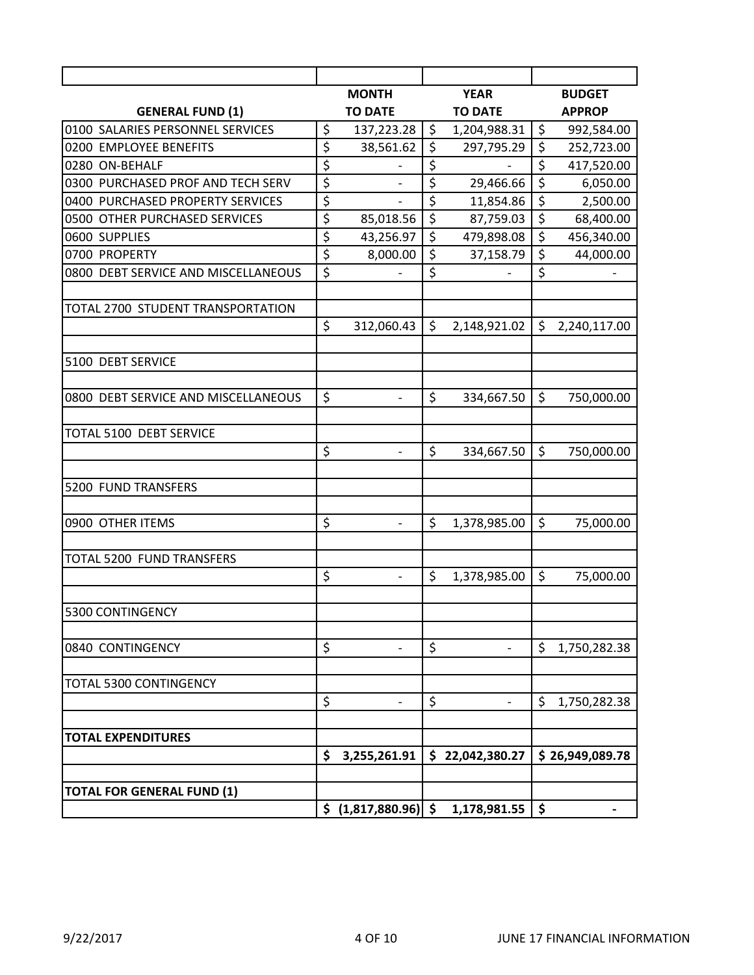|                                     |                                 | <b>MONTH</b>                    |                        | <b>YEAR</b>              |         | <b>BUDGET</b>   |
|-------------------------------------|---------------------------------|---------------------------------|------------------------|--------------------------|---------|-----------------|
| <b>GENERAL FUND (1)</b>             |                                 | <b>TO DATE</b>                  |                        | <b>TO DATE</b>           |         | <b>APPROP</b>   |
| 0100 SALARIES PERSONNEL SERVICES    | \$                              | 137,223.28                      | \$                     | 1,204,988.31             | \$      | 992,584.00      |
| 0200 EMPLOYEE BENEFITS              | $\overline{\xi}$                | 38,561.62                       | \$                     | 297,795.29               | \$      | 252,723.00      |
| 0280 ON-BEHALF                      | \$                              |                                 | \$                     |                          | \$      | 417,520.00      |
| 0300 PURCHASED PROF AND TECH SERV   | \$                              | $\overline{\phantom{0}}$        | \$                     | 29,466.66                | \$      | 6,050.00        |
| 0400 PURCHASED PROPERTY SERVICES    | \$                              |                                 | \$                     | 11,854.86                | \$      | 2,500.00        |
| 0500 OTHER PURCHASED SERVICES       | \$                              | 85,018.56                       | $\overline{\varsigma}$ | 87,759.03                | \$      | 68,400.00       |
| 0600 SUPPLIES                       | $\overline{\boldsymbol{\zeta}}$ | 43,256.97                       | \$                     | 479,898.08               | \$      | 456,340.00      |
| 0700 PROPERTY                       | $\overline{\xi}$                | 8,000.00                        | \$                     | 37,158.79                | \$      | 44,000.00       |
| 0800 DEBT SERVICE AND MISCELLANEOUS | $\overline{\xi}$                | $\overline{a}$                  | \$                     | $\overline{\phantom{0}}$ | \$      |                 |
| TOTAL 2700 STUDENT TRANSPORTATION   |                                 |                                 |                        |                          |         |                 |
|                                     | \$                              | 312,060.43                      | $\zeta$                | 2,148,921.02             | $\zeta$ | 2,240,117.00    |
| 5100 DEBT SERVICE                   |                                 |                                 |                        |                          |         |                 |
| 0800 DEBT SERVICE AND MISCELLANEOUS | \$                              | $\overline{a}$                  | \$                     | 334,667.50               | \$      | 750,000.00      |
| TOTAL 5100 DEBT SERVICE             |                                 |                                 |                        |                          |         |                 |
|                                     | \$                              | $\overline{a}$                  | \$                     | 334,667.50               | \$      | 750,000.00      |
| 5200 FUND TRANSFERS                 |                                 |                                 |                        |                          |         |                 |
| 0900 OTHER ITEMS                    | \$                              | $\qquad \qquad -$               | \$                     | 1,378,985.00             | \$      | 75,000.00       |
| <b>TOTAL 5200 FUND TRANSFERS</b>    |                                 |                                 |                        |                          |         |                 |
|                                     | \$                              | $\qquad \qquad \blacksquare$    | \$                     | 1,378,985.00             | \$      | 75,000.00       |
| 5300 CONTINGENCY                    |                                 |                                 |                        |                          |         |                 |
| 0840 CONTINGENCY                    | \$                              |                                 | \$                     |                          | \$      | 1,750,282.38    |
| TOTAL 5300 CONTINGENCY              |                                 |                                 |                        |                          |         |                 |
|                                     | \$                              |                                 | \$                     |                          | \$      | 1,750,282.38    |
| <b>TOTAL EXPENDITURES</b>           |                                 |                                 |                        |                          |         |                 |
|                                     | \$                              | 3,255,261.91                    |                        | \$22,042,380.27          |         | \$26,949,089.78 |
| <b>TOTAL FOR GENERAL FUND (1)</b>   |                                 |                                 |                        |                          |         |                 |
|                                     |                                 | $\frac{1}{2}$ (1,817,880.96) \$ |                        | 1,178,981.55             | \$      |                 |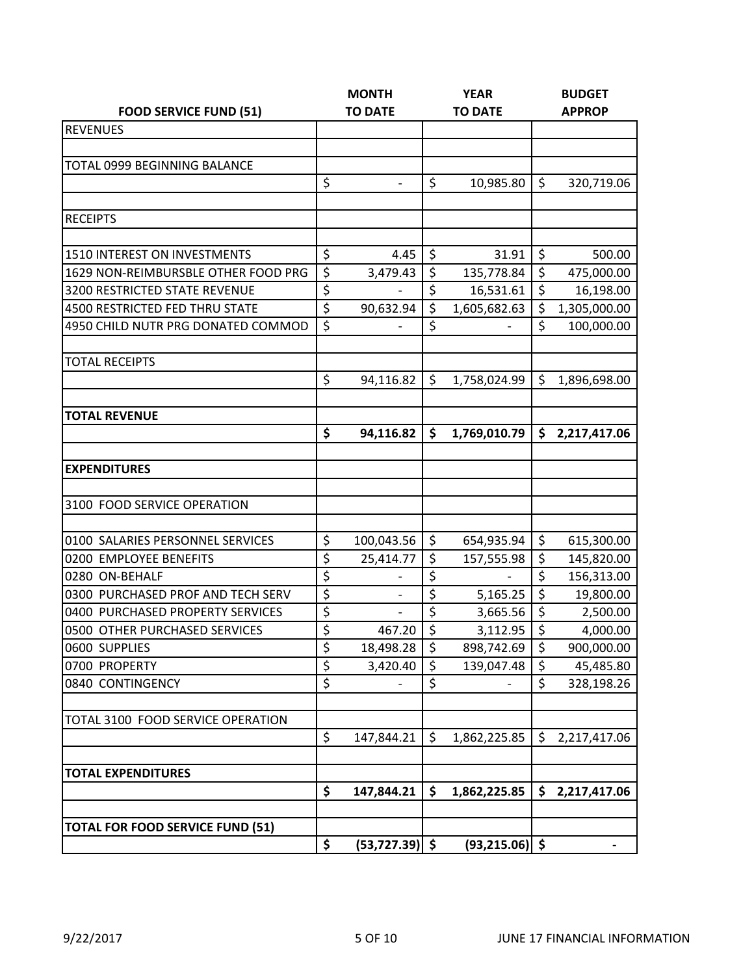|                                         |                  | <b>MONTH</b>             | <b>YEAR</b>      |                   |    | <b>BUDGET</b> |  |  |
|-----------------------------------------|------------------|--------------------------|------------------|-------------------|----|---------------|--|--|
| <b>FOOD SERVICE FUND (51)</b>           |                  | <b>TO DATE</b>           | <b>TO DATE</b>   |                   |    | <b>APPROP</b> |  |  |
| <b>REVENUES</b>                         |                  |                          |                  |                   |    |               |  |  |
|                                         |                  |                          |                  |                   |    |               |  |  |
| <b>TOTAL 0999 BEGINNING BALANCE</b>     |                  |                          |                  |                   |    |               |  |  |
|                                         | \$               |                          | \$               | 10,985.80         | \$ | 320,719.06    |  |  |
|                                         |                  |                          |                  |                   |    |               |  |  |
| <b>RECEIPTS</b>                         |                  |                          |                  |                   |    |               |  |  |
|                                         |                  |                          |                  |                   |    |               |  |  |
| 1510 INTEREST ON INVESTMENTS            | \$               | 4.45                     | \$               | 31.91             | \$ | 500.00        |  |  |
| 1629 NON-REIMBURSBLE OTHER FOOD PRG     | \$               | 3,479.43                 | \$               | 135,778.84        | \$ | 475,000.00    |  |  |
| <b>3200 RESTRICTED STATE REVENUE</b>    | \$               |                          | \$               | 16,531.61         | \$ | 16,198.00     |  |  |
| 4500 RESTRICTED FED THRU STATE          | \$               | 90,632.94                | \$               | 1,605,682.63      | \$ | 1,305,000.00  |  |  |
| 4950 CHILD NUTR PRG DONATED COMMOD      | $\overline{\xi}$ |                          | \$               |                   | \$ | 100,000.00    |  |  |
|                                         |                  |                          |                  |                   |    |               |  |  |
| <b>TOTAL RECEIPTS</b>                   |                  |                          |                  |                   |    |               |  |  |
|                                         | \$               | 94,116.82                | \$               | 1,758,024.99      | \$ | 1,896,698.00  |  |  |
|                                         |                  |                          |                  |                   |    |               |  |  |
| <b>TOTAL REVENUE</b>                    |                  |                          |                  |                   |    |               |  |  |
|                                         | \$               | 94,116.82                | \$               | 1,769,010.79      | \$ | 2,217,417.06  |  |  |
|                                         |                  |                          |                  |                   |    |               |  |  |
| <b>EXPENDITURES</b>                     |                  |                          |                  |                   |    |               |  |  |
|                                         |                  |                          |                  |                   |    |               |  |  |
| 3100 FOOD SERVICE OPERATION             |                  |                          |                  |                   |    |               |  |  |
|                                         |                  |                          |                  |                   |    |               |  |  |
| 0100 SALARIES PERSONNEL SERVICES        | \$               | 100,043.56               | \$               | 654,935.94        | \$ | 615,300.00    |  |  |
| 0200 EMPLOYEE BENEFITS                  | \$               | 25,414.77                | \$               | 157,555.98        | \$ | 145,820.00    |  |  |
| 0280 ON-BEHALF                          | \$               |                          | \$               |                   | \$ | 156,313.00    |  |  |
| 0300 PURCHASED PROF AND TECH SERV       | $\overline{\xi}$ | $\overline{\phantom{m}}$ | $\overline{\xi}$ | 5,165.25          | \$ | 19,800.00     |  |  |
| 0400 PURCHASED PROPERTY SERVICES        | \$               |                          | \$               | 3,665.56          | \$ | 2,500.00      |  |  |
| 0500 OTHER PURCHASED SERVICES           | \$               | 467.20                   | \$               | 3,112.95          | \$ | 4,000.00      |  |  |
| 0600 SUPPLIES                           | \$               | 18,498.28                | \$               | 898,742.69        | \$ | 900,000.00    |  |  |
| 0700 PROPERTY                           | \$               | 3,420.40                 | \$               | 139,047.48        | \$ | 45,485.80     |  |  |
| 0840 CONTINGENCY                        | \$               |                          | \$               |                   | \$ | 328,198.26    |  |  |
| TOTAL 3100 FOOD SERVICE OPERATION       |                  |                          |                  |                   |    |               |  |  |
|                                         | \$               | 147,844.21               | \$               | 1,862,225.85      | \$ | 2,217,417.06  |  |  |
|                                         |                  |                          |                  |                   |    |               |  |  |
| <b>TOTAL EXPENDITURES</b>               | \$               | 147,844.21               | \$               | 1,862,225.85      | \$ | 2,217,417.06  |  |  |
|                                         |                  |                          |                  |                   |    |               |  |  |
| <b>TOTAL FOR FOOD SERVICE FUND (51)</b> |                  |                          |                  |                   |    |               |  |  |
|                                         | \$               | $(53, 727.39)$ \$        |                  | $(93, 215.06)$ \$ |    |               |  |  |
|                                         |                  |                          |                  |                   |    |               |  |  |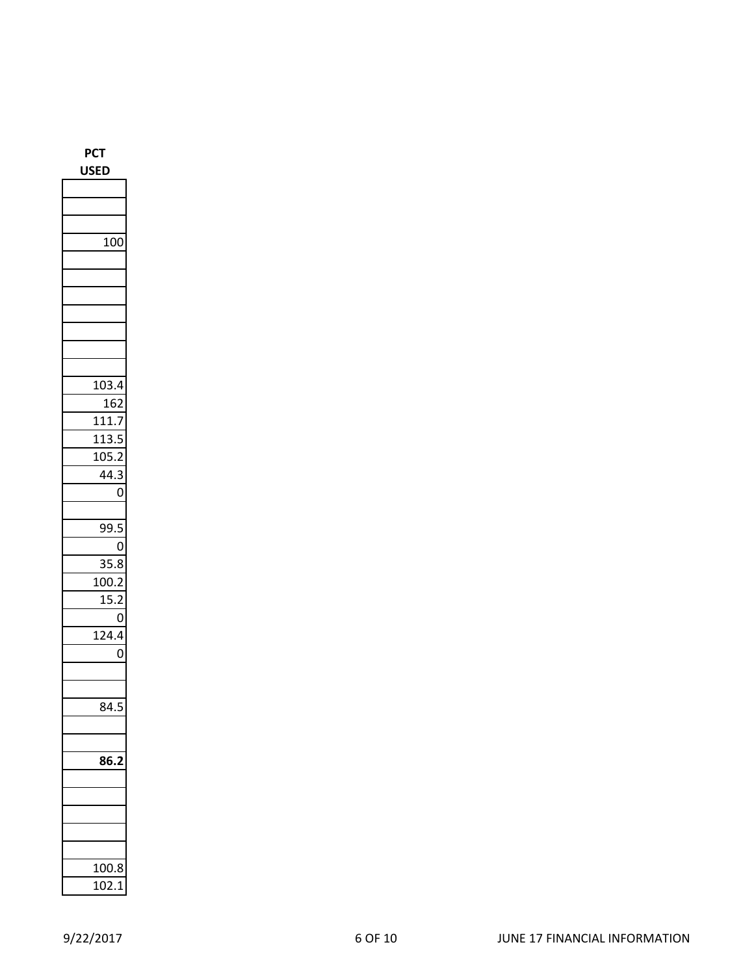| USED             |
|------------------|
|                  |
|                  |
|                  |
| $\overline{100}$ |
|                  |
|                  |
|                  |
|                  |
|                  |
|                  |
|                  |
| 103.4            |
| 162              |
| 111.7            |
| 113.             |
| 105.2            |
| 44.3             |
| $\overline{0}$   |
|                  |
| 99.5             |
| 0                |
| 35.8<br>100.2    |
| 5.2<br>1<br>ľ    |
| O                |
| _<br>124.4       |
| 0                |
|                  |
|                  |
| 84.5             |
|                  |
|                  |
| 8                |
|                  |
|                  |
|                  |
|                  |
|                  |
| 100.8<br>5       |
| 102.             |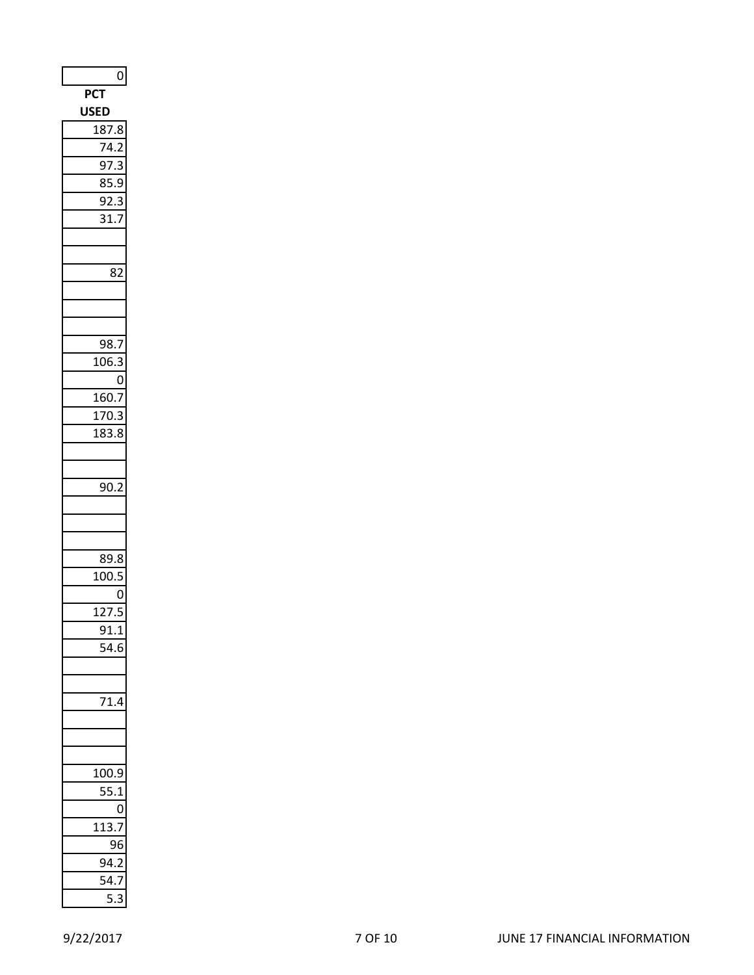| $\overline{0}$                         |
|----------------------------------------|
| $\overline{PC}$ T                      |
| <b>USED</b>                            |
| 187.8                                  |
| $\overline{7}$<br>$\mathbf{1}$ .       |
| 97.3<br>ξ                              |
| 85.9                                   |
| 92.3<br>3                              |
| 31.                                    |
|                                        |
| 82                                     |
|                                        |
|                                        |
|                                        |
| 98.7                                   |
| 106.<br>ξ                              |
| 0                                      |
| 160.7                                  |
| 170.3                                  |
| $\overline{1}83.8$                     |
|                                        |
|                                        |
| $\mathbf$<br>90.2                      |
|                                        |
|                                        |
| 89.8                                   |
| 100.5                                  |
| 0                                      |
| $\overline{12}$<br>$\overline{7}$<br>ľ |
| 91.1                                   |
| $\mathbf{1}$ .<br>I                    |
|                                        |
|                                        |
|                                        |
|                                        |
|                                        |
|                                        |
| 100.9<br>)                             |
| 5.1                                    |
| 0                                      |
| 1<br>1:                                |
|                                        |
| C<br>I                                 |
| I                                      |
|                                        |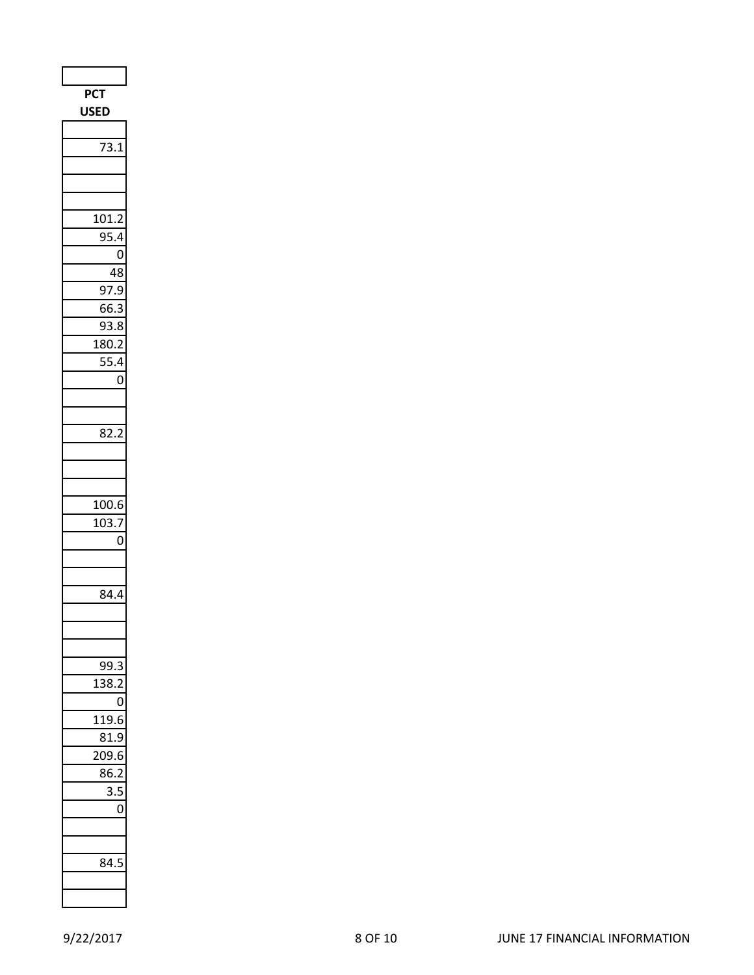| <b>PCT</b>                |  |
|---------------------------|--|
| USED                      |  |
|                           |  |
| 73.1                      |  |
|                           |  |
|                           |  |
|                           |  |
| 101.2<br>954              |  |
| 0                         |  |
| 48                        |  |
| 97<br>7.9                 |  |
| 5.3<br>66                 |  |
| .8<br>9.                  |  |
| 180.2                     |  |
| 55.4                      |  |
| 0                         |  |
|                           |  |
|                           |  |
| 82.2                      |  |
|                           |  |
|                           |  |
|                           |  |
| 100.6<br>103.7            |  |
| 0                         |  |
|                           |  |
|                           |  |
| 84.4                      |  |
|                           |  |
|                           |  |
| C<br>9.<br>ξ              |  |
| 38.<br>13                 |  |
| 0                         |  |
| 119.<br>Е                 |  |
| 81.9                      |  |
| 209.6                     |  |
| 86.2                      |  |
| $\overline{\mathbf{3}}$ . |  |
| 0                         |  |
|                           |  |
|                           |  |
| ا 34<br>۶                 |  |
|                           |  |
|                           |  |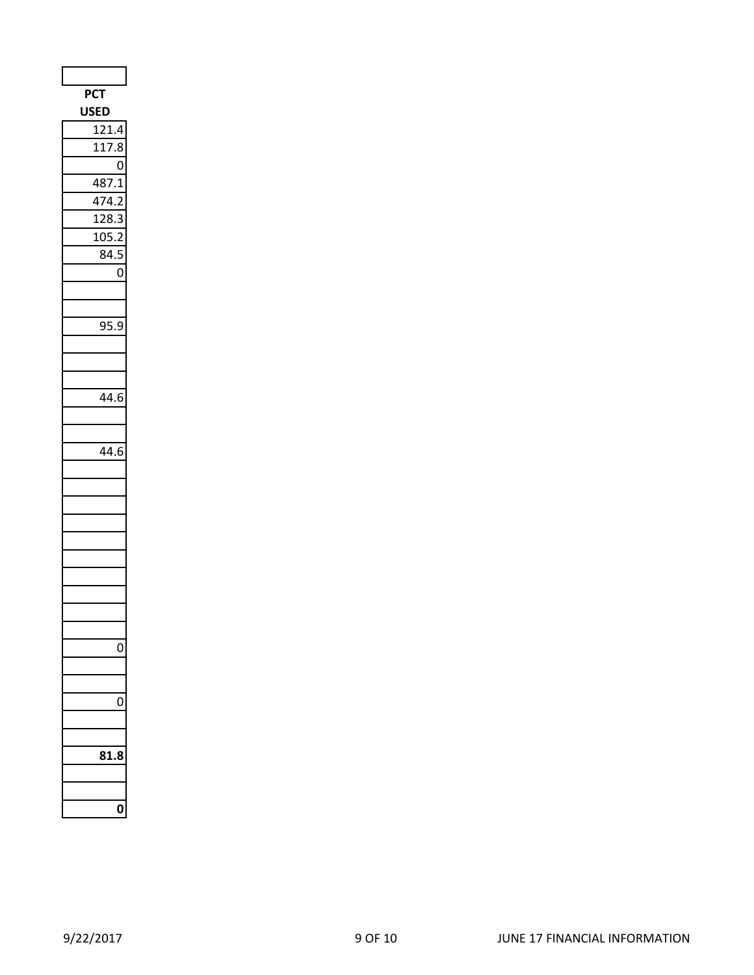| <b>PCT</b>          |
|---------------------|
| <b>USED</b>         |
| 121.4               |
| $\overline{1}$ 17.8 |
| $\overline{0}$      |
| 487.1               |
| 474.2               |
| 128.3<br>ξ          |
| 105.2               |
| 84.5<br>j           |
| 0                   |
|                     |
|                     |
| $\overline{9}5.9$   |
|                     |
|                     |
|                     |
| 44.6                |
|                     |
|                     |
| 44.6                |
|                     |
|                     |
|                     |
|                     |
|                     |
|                     |
|                     |
|                     |
|                     |
|                     |
|                     |
|                     |
|                     |
| 1<br>J              |
|                     |
|                     |
|                     |
|                     |
|                     |
|                     |